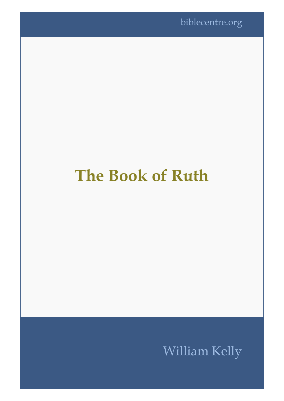# **The Book of Ruth**

# William Kelly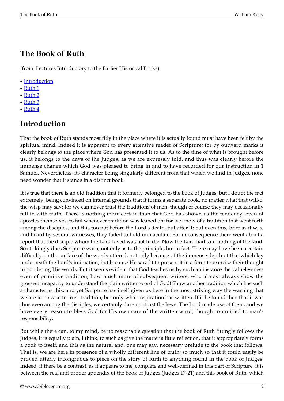## **The Book of Ruth**

(from: Lectures Introductory to the Earlier Historical Books)

- [Introduction](#page--1-0)
- $\cdot$  [Ruth 1](#page-2-0)
- [Ruth 2](#page-7-0)
- [Ruth 3](#page-8-0)
- [Ruth 4](#page-9-0)

#### **Introduction**

That the book of Ruth stands most fitly in the place where it is actually found must have been felt by the spiritual mind. Indeed it is apparent to every attentive reader of Scripture; for by outward marks it clearly belongs to the place where God has presented it to us. As to the time of what is brought before us, it belongs to the days of the Judges, as we are expressly told, and thus was clearly before the immense change which God was pleased to bring in and to have recorded for our instruction in 1 Samuel. Nevertheless, its character being singularly different from that which we find in Judges, none need wonder that it stands in a distinct book.

It is true that there is an old tradition that it formerly belonged to the book of Judges, but I doubt the fact extremely, being convinced on internal grounds that it forms a separate book, no matter what that will-o' the-wisp may say; for we can never trust the traditions of men, though of course they may occasionally fall in with truth. There is nothing more certain than that God has shown us the tendency, even of apostles themselves, to fail whenever tradition was leaned on; for we know of a tradition that went forth among the disciples, and this too not before the Lord's death, but after it; but even this, brief as it was, and heard by several witnesses, they failed to hold immaculate. For in consequence there went about a report that the disciple whom the Lord loved was not to die. Now the Lord had said nothing of the kind. So strikingly does Scripture warn, not only as to the principle, but in fact. There may have been a certain difficulty on the surface of the words uttered, not only because of the immense depth of that which lay underneath the Lord's intimation, but because He saw fit to present it in a form to exercise their thought in pondering His words. But it seems evident that God teaches us by such an instance the valuelessness even of primitive tradition; how much more of subsequent writers, who almost always show the grossest incapacity to understand the plain written word of God! Show another tradition which has such a character as this; and yet Scripture has itself given us here in the most striking way the warning that we are in no case to trust tradition, but only what inspiration has written. If it be found then that it was thus even among the disciples, we certainly dare not trust the Jews. The Lord made use of them, and we have every reason to bless God for His own care of the written word, though committed to man's responsibility.

But while there can, to my mind, be no reasonable question that the book of Ruth fittingly follows the Judges, it is equally plain, I think, to such as give the matter a little reflection, that it appropriately forms a book to itself, and this as the natural and, one may say, necessary prelude to the book that follows. That is, we are here in presence of a wholly different line of truth; so much so that it could easily be proved utterly incongruous to piece on the story of Ruth to anything found in the book of Judges. Indeed, if there be a contrast, as it appears to me, complete and well-defined in this part of Scripture, it is between the real and proper appendix of the book of Judges (Judges 17-21) and this book of Ruth, which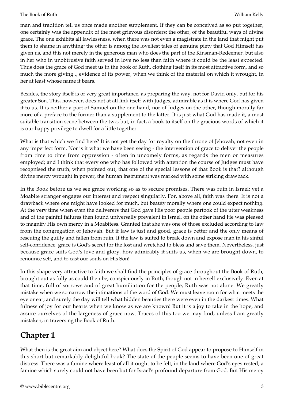man and tradition tell us once made another supplement. If they can be conceived as so put together, one certainly was the appendix of the most grievous disorders; the other, of the beautiful ways of divine grace. The one exhibits all lawlessness, when there was not even a magistrate in the land that might put them to shame in anything; the other is among the loveliest tales of genuine piety that God Himself has given us, and this not merely in the generous man who does the part of the Kinsman-Redeemer, but also in her who in unobtrusive faith served in love no less than faith where it could be the least expected. Thus does the grace of God meet us in the book of Ruth, clothing itself in its most attractive form, and so much the more giving ,, evidence of its power, when we think of the material on which it wrought, in her at least whose name it bears.

Besides, the story itself is of very great importance, as preparing the way, not for David only, but for his greater Son. This, however, does not at all link itself with Judges, admirable as it is where God has given it to us. It is neither a part of Samuel on the one hand, nor of Judges on the other, though morally far more of a preface to the former than a supplement to the latter. It is just what God has made it, a most suitable transition scene between the two, but, in fact, a book to itself on the gracious words of which it is our happy privilege to dwell for a little together.

What is that which we find here? It is not yet the day for royalty on the throne of Jehovah, not even in any imperfect form. Nor is it what we have been seeing - the intervention of grace to deliver the people from time to time from oppression - often in uncomely forms, as regards the men or measures employed; and I think that every one who has followed with attention the course of Judges must have recognised the truth, when pointed out, that one of the special lessons of that Book is that? although divine mercy wrought in power, the human instrument was marked with some striking drawback.

In the Book before us we see grace working so as to secure promises. There was ruin in Israel; yet a Moabite stranger engages our interest and respect singularly. For, above all, faith was there. It is not a drawback where one might have looked for much, but beauty morally where one could expect nothing. At the very time when even the deliverers that God gave His poor people partook of the utter weakness and of the painful failures then found universally prevalent in Israel, on the other hand He was pleased to magnify His own mercy in a Moabitess. Granted that she was one of those excluded according to law from the congregation of Jehovah. But if law is just and good, grace is better and the only means of rescuing the guilty and fallen from ruin. If the law is suited to break down and expose man in his sinful self-confidence, grace is God's secret for the lost and wretched to bless and save them. Nevertheless, just because grace suits God's love and glory, how admirably it suits us, when we are brought down, to renounce self, and to cast our souls on His Son!

In this shape very attractive to faith we shall find the principles of grace throughout the Book of Ruth, brought out as fully as could then be, conspicuously in Ruth, though not in herself exclusively. Even at that time, full of sorrows and of great humiliation for the people, Ruth was not alone. We greatly mistake when we so narrow the intimations of the word of God. We must leave room for what meets the eye or ear; and surely the day will tell what hidden beauties there were even in the darkest times. What fulness of joy for our hearts when we know as we are known! But it is a joy to take in the hope, and assure ourselves of the largeness of grace now. Traces of this too we may find, unless I am greatly mistaken, in traversing the Book of Ruth.

#### <span id="page-2-0"></span>**Chapter 1**

What then is the great aim and object here? What does the Spirit of God appear to propose to Himself in this short but remarkably delightful book? The state of the people seems to have been one of great distress. There was a famine where least of all it ought to be felt, in the land where God's eyes rested; a famine which surely could not have been but for Israel's profound departure from God. But His mercy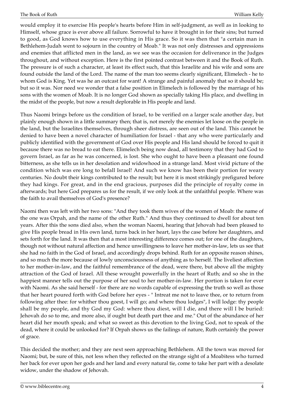would employ it to exercise His people's hearts before Him in self-judgment, as well as in looking to Himself, whose grace is ever above all failure. Sorrowful to have it brought in for their sins; but turned to good, as God knows how to use everything in His grace. So it was then that "a certain man in Bethlehem-Judah went to sojourn in the country of Moab." It was not only distresses and oppressions and enemies that afflicted men in the land, as we see was the occasion for deliverance in the Judges throughout, and without exception. Here is the first pointed contrast between it and the Book of Ruth. The pressure is of such a character, at least its effect such, that this Israelite and his wife and sons are found outside the land of the Lord. The name of the man too seems clearly significant, Elimelech - he to whom God is King. Yet was he an outcast for want! A strange and painful anomaly that so it should be; but so it was. Nor need we wonder that a false position in Elimelech is followed by the marriage of his sons with the women of Moab. It is no longer God shown as specially taking His place, and dwelling in the midst of the people, but now a result deplorable in His people and land.

Thus Naomi brings before us the condition of Israel, to be verified on a larger scale another day, but plainly enough shown in a little summary then; that is, not merely the enemies let loose on the people in the land, but the Israelites themselves, through sheer distress, are seen out of the land. This cannot be denied to have been a novel character of humiliation for Israel - that any who were particularly and publicly identified with the government of God over His people and His land should be forced to quit it because there was no bread to eat there. Elimelech being now dead, all testimony that they had God to govern Israel, as far as he was concerned, is lost. She who ought to have been a pleasant one found bitterness, as she tells us in her desolation and widowhood in a strange land. Most vivid picture of the condition which was ere long to befall Israel! And such we know has been their portion for weary centuries. No doubt their kings contributed to the result; but here it is most strikingly prefigured before they had kings. For great, and in the end gracious, purposes did the principle of royalty come in afterwards; but here God prepares us for the result, if we only look at the unfaithful people. Where was the faith to avail themselves of God's presence?

Naomi then was left with her two sons: "And they took them wives of the women of Moab: the name of the one was Orpah, and the name of the other Ruth." And thus they continued to dwell for about ten years. After this the sons died also, when the woman Naomi, hearing that Jehovah had been pleased to give His people bread in His own land, turns back in her heart, lays the case before her daughters, and sets forth for the land. It was then that a most interesting difference comes out; for one of the daughters, though not without natural affection and hence unwillingness to leave her mother-in-law, lets us see that she had no faith in the God of Israel, and accordingly drops behind. Ruth for an opposite reason shines, and so much the more because of lowly unconsciousness of anything as to herself. The liveliest affection to her mother-in-law, and the faithful remembrance of the dead, were there, but above all the mighty attraction of the God of Israel. All these wrought powerfully in the heart of Ruth; and so she in the happiest manner tells out the purpose of her soul to her mother-in-law. Her portion is taken for ever with Naomi. As she said herself - for there are no words capable of expressing the truth so well as those that her heart poured forth with God before her eyes - " Intreat me not to leave thee, or to return from following after thee: for whither thou goest, I will go; and where thou lodges", I will lodge: thy people shall be my people, and thy God my God: where thou diest, will I die, and there will I be buried: Jehovah do so to me, and more also, if ought but death part thee and me." Out of the abundance of her heart did her mouth speak; and what so sweet as this devotion to the living God, not to speak of the dead, where it could be unlooked for? If Orpah shows us the failings of nature, Ruth certainly the power of grace.

This decided the mother; and they are next seen approaching Bethlehem. All the town was moved for Naomi; but, be sure of this, not less when they reflected on the strange sight of a Moabitess who turned her back for ever upon her gods and her land and every natural tie, come to take her part with a desolate widow, under the shadow of Jehovah.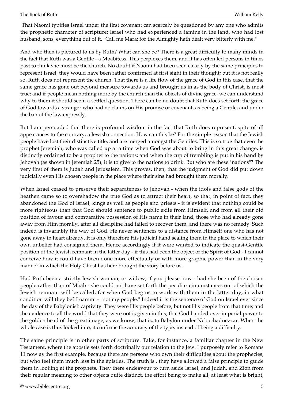That Naomi typifies Israel under the first covenant can scarcely be questioned by any one who admits the prophetic character of scripture; Israel who had experienced a famine in the land, who had lost husband, sons, everything out of it. "Call me Mara; for the Almighty hath dealt very bitterly with me."

And who then is pictured to us by Ruth? What can she be? There is a great difficulty to many minds in the fact that Ruth was a Gentile - a Moabitess. This perplexes them, and it has often led persons in times past to think she must be the church. No doubt if Naomi had been seen clearly by the same principles to represent Israel, they would have been rather confirmed at first sight in their thought; but it is not really so. Ruth does not represent the church. That there is a life flow of the grace of God in this case, that the same grace has gone out beyond measure towards us and brought us in as the body of Christ, is most true; and if people mean nothing more by the church than the objects of divine grace, we can understand why to them it should seem a settled question. There can be no doubt that Ruth does set forth the grace of God towards a stranger who had no claims on His promise or covenant, as being a Gentile, and under the ban of the law expressly.

But I am persuaded that there is profound wisdom in the fact that Ruth does represent, spite of all appearances to the contrary, a Jewish connection. How can this be? For the simple reason that the Jewish people have lost their distinctive title, and are merged amongst the Gentiles. This is so true that even the prophet Jeremiah, who was called up at a time when God was about to bring in this great change, is distinctly ordained to be a prophet to the nations; and when the cup of trembling is put in his hand by Jehovah (as shown in Jeremiah 25), it is to give to the nations to drink. But who are these "nations"? The very first of them is Judah and Jerusalem. This proves, then, that the judgment of God did put down judicially even His chosen people in the place where their sins had brought them morally.

When Israel ceased to preserve their separateness to Jehovah - when the idols and false gods of the heathen came so to overshadow the true God as to attract their heart, so that, in point of fact, they abandoned the God of Israel, kings as well as people and priests - it is evident that nothing could be more righteous than that God should sentence to public exile from Himself, and from all their old position of favour and comparative possession of His name in their land, those who had already gone away from Him morally, after all discipline had failed to recover them, and there was no remedy. Such indeed is invariably the way of God. He never sentences to a distance from Himself one who has not gone away in heart already. It is only therefore His judicial hand sealing them in the place to which their own unbelief had consigned them. Hence accordingly if it were wanted to indicate the quasi-Gentile position of the Jewish remnant in the latter day - if this had been the object of the Spirit of God - I cannot conceive how it could have been done more effectually or with more graphic power than in the very manner in which the Holy Ghost has here brought the story before us.

Had Ruth been a strictly Jewish woman, or widow, if you please now - had she been of the chosen people rather than of Moab - she could not have set forth the peculiar circumstances out of which the Jewish remnant will be called; for when God begins to work with them in the latter day, in what condition will they be? Loammi - "not my people." Indeed it is the sentence of God on Israel ever since the day of the Babylonish captivity. They were His people before, but not His people from that time; and the evidence to all the world that they were not is given in this, that God handed over imperial power to the golden head of the great image, as we know; that is, to Babylon under Nebuchadnezzar. When the whole case is thus looked into, it confirms the accuracy of the type, instead of being a difficulty.

The same principle is in other parts of scripture. Take, for instance, a familiar chapter in the New Testament, where the apostle sets forth doctrinally our relation to the Jew. I purposely refer to Romans 11 now as the first example, because there are persons who own their difficulties about the prophecies, but who feel them much less in the epistles. The truth is , they have allowed a false principle to guide them in looking at the prophets. They there endeavour to turn aside Israel, and Judah, and Zion from their regular meaning to other objects quite distinct, the effort being to make all, at least what is bright,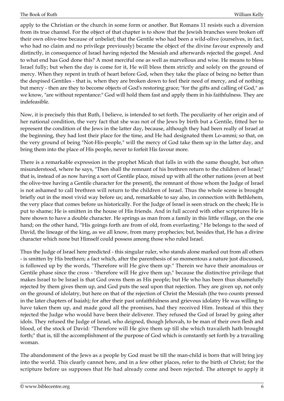apply to the Christian or the church in some form or another. But Romans 11 resists such a diversion from its true channel. For the object of that chapter is to show that the Jewish branches were broken off their own olive-tree because of unbelief; that the Gentile who had been a wild-olive (ourselves, in fact, who had no claim and no privilege previously) became the object of the divine favour expressly and distinctly, in consequence of Israel having rejected the Messiah and afterwards rejected the gospel. And to what end has God done this? A most merciful one as well as marvellous and wise. He means to bless Israel fully; but when the day is come for it, He will bless them strictly and solely on the ground of mercy. When they repent in truth of heart before God, when they take the place of being no better than the despised Gentiles - that is, when they are broken down to feel their need of mercy, and of nothing but mercy - then are they to become objects of God's restoring grace; "for the gifts and calling of God," as we know, "are without repentance:" God will hold them fast and apply them in his faithfulness. They are indefeasible.

Now, it is precisely this that Ruth, I believe, is intended to set forth. The peculiarity of her origin and of her national condition, the very fact that she was not of the Jews by birth but a Gentile, fitted her to represent the condition of the Jews in the latter day, because, although they had been really of Israel at the beginning, they had lost their place for the time, and He had designated them Lo-ammi; so that, on the very ground of being "Not-His-people," will the mercy of God take them up in the latter day, and bring them into the place of His people, never to forfeit His favour more.

There is a remarkable expression in the prophet Micah that falls in with the same thought, but often misunderstood, where he says, "Then shall the remnant of his brethren return to the children of Israel;" that is, instead of as now having a sort of Gentile place, mixed up with all the other nations (even at best the olive-tree having a Gentile character for the present), the remnant of those whom the Judge of Israel is not ashamed to call brethren will return to the children of Israel. Thus the whole scene is brought briefly out in the most vivid way before us; and, remarkable to say also, in connection with Bethlehem, the very place that comes before us historically. For the Judge of Israel is seen struck on the cheek; He is put to shame; He is smitten in the house of His friends. And in full accord with other scriptures He is here shown to have a double character. He springs as man from a family in this little village, on the one hand; on the other hand, "His goings forth are from of old, from everlasting." He belongs to the seed of David, the lineage of the king, as we all know, from many prophecies; but, besides that, He has a divine character which none but Himself could possess among those who ruled Israel.

Thus the Judge of Israel here predicted - this singular ruler, who stands alone marked out from all others - is smitten by His brethren; a fact which, after the parenthesis of so momentous a nature just discussed, is followed up by the words, "Therefore will He give them up." Therein we have their anomalous or Gentile phase since the cross - "therefore will He give them up," because the distinctive privilege that makes Israel to be Israel is that God owns them as His people; but He who has been thus shamefully rejected by them gives them up, and God puts the seal upon that rejection. They are given up, not only on the ground of idolatry, but here on that of the rejection of Christ the Messiah (the two counts pressed in the later chapters of Isaiah); for after their past unfaithfulness and grievous idolatry He was willing to have taken them up, and made good all the promises, had they received Him. Instead of this they rejected the Judge who would have been their deliverer. They refused the God of Israel by going after idols. They refused the Judge of Israel, who deigned, though Jehovah, to be man of their own flesh and blood, of the stock of David: "Therefore will He give them up till she which travaileth hath brought forth;" that is, till the accomplishment of the purpose of God which is constantly set forth by a travailing woman.

The abandonment of the Jews as a people by God must be till the man-child is born that will bring joy into the world. This clearly cannot here, and in a few other places, refer to the birth of Christ; for the scripture before us supposes that He had already come and been rejected. The attempt to apply it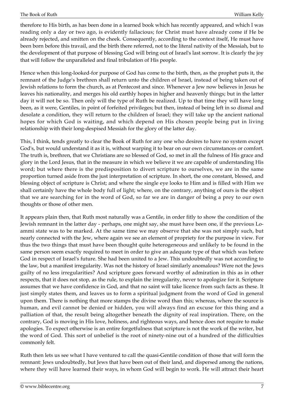therefore to His birth, as has been done in a learned book which has recently appeared, and which I was reading only a day or two ago, is evidently fallacious; for Christ must have already come if He be already rejected, and smitten on the cheek. Consequently, according to the context itself, He must have been born before this travail, and the birth there referred, not to the literal nativity of the Messiah, but to the development of that purpose of blessing God will bring out of Israel's last sorrow. It is clearly the joy that will follow the unparalleled and final tribulation of His people.

Hence when this long-looked-for purpose of God has come to the birth, then, as the prophet puts it, the remnant of the Judge's brethren shall return unto the children of Israel, instead of being taken out of Jewish relations to form the church, as at Pentecost and since. Whenever a Jew now believes in Jesus he leaves his nationality, and merges his old earthly hopes in higher and heavenly things; but in the latter day it will not be so. Then only will the type of Ruth be realized. Up to that time they will have long been, as it were, Gentiles, in point of forfeited privileges; but then, instead of being left in so dismal and desolate a condition, they will return to the children of Israel; they will take up the ancient national hopes for which God is waiting, and which depend on His chosen people being put in living relationship with their long-despised Messiah for the glory of the latter day.

This, I think, tends greatly to clear the Book of Ruth for any one who desires to have no system except God's, but would understand it as it is, without warping it to bear on our own circumstances or comfort. The truth is, brethren, that we Christians are so blessed of God, so met in all the fulness of His grace and glory in the Lord Jesus, that in the measure in which we believe it we are capable of understanding His word; but where there is the predisposition to divert scripture to ourselves, we are in the same proportion turned aside from the just interpretation of scripture. In short, the one constant, blessed, and blessing object of scripture is Christ; and where the single eye looks to Him and is filled with Him we shall certainly have the whole body full of light; where, on the contrary, anything of ours is the object that we are searching for in the word of God, so far we are in danger of being a prey to our own thoughts or those of other men.

It appears plain then, that Ruth most naturally was a Gentile, in order fitly to show the condition of the Jewish remnant in the latter day - perhaps, one might say, she must have been one, if the previous Loammi state was to be marked. At the same time we may observe that she was not simply such, but nearly connected with the Jew, where again we see an element of propriety for the purpose in view. For thus the two things that must have been thought quite heterogeneous and unlikely to be found in the same person seem exactly required to meet in order to give an adequate type of that which was before God in respect of Israel's future. She had been united to a Jew. This undoubtedly was not according to the law, but a manifest irregularity. Was not the history of Israel similarly anomalous? Were not the Jews guilty of no less irregularities? And scripture goes forward worthy of admiration in this as in other respects, that it does not stop, as the rule, to explain the irregularity, never to apologize for it. Scripture assumes that we have confidence in God, and that no saint will take licence from such facts as these. It just simply states them, and leaves us to form a spiritual judgment from the word of God in general upon them. There is nothing that more stamps the divine word than this; whereas, where the source is human, and evil cannot be denied or hidden, you will always find an excuse for this thing and a palliation of that, the result being altogether beneath the dignity of real inspiration. There, on the contrary, God is moving in His love, holiness, and righteous ways, and hence does not require to make apologies. To expect otherwise is an entire forgetfulness that scripture is not the work of the writer, but the word of God. This sort of unbelief is the root of ninety-nine out of a hundred of the difficulties commonly felt.

Ruth then lets us see what I have ventured to call the quasi-Gentile condition of those that will form the remnant: Jews undoubtedly, but Jews that have been out of their land, and dispersed among the nations, where they will have learned their ways, in whom God will begin to work. He will attract their heart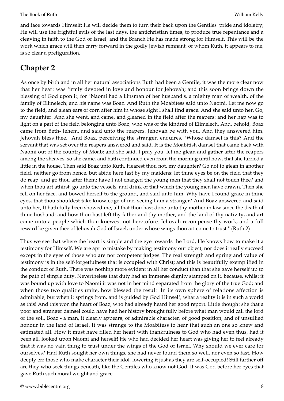and face towards Himself; He will decide them to turn their back upon the Gentiles' pride and idolatry; He will use the frightful evils of the last days, the antichristian times, to produce true repentance and a cleaving in faith to the God of Israel, and the Branch He has made strong for Himself. This will be the work which grace will then carry forward in the godly Jewish remnant, of whom Ruth, it appears to me, is so clear a prefiguration.

#### <span id="page-7-0"></span>**Chapter 2**

As once by birth and in all her natural associations Ruth had been a Gentile, it was the more clear now that her heart was firmly devoted in love and honour for Jehovah; and this soon brings down the blessing of God upon it; for "Naomi had a kinsman of her husband's, a mighty man of wealth, of the family of Elimelech; and his name was Boaz. And Ruth the Moabitess said unto Naomi, Let me now go to the field, and glean ears of corn after him in whose sight I shall find grace. And she said unto her, Go, my daughter. And she went, and came, and gleaned in the field after the reapers: and her hap was to light on a part of the field belonging unto Boaz, who was of the kindred of Elimelech. And, behold, Boaz came from Beth- lehem, and said unto the reapers, Jehovah be with you. And they answered him, Jehovah bless thee." And Boaz, perceiving the stranger, enquires, "Whose damsel is this? And the servant that was set over the reapers answered and said, It is the Moabitish damsel that came back with Naomi out of the country of Moab: and she said, I pray you, let me glean and gather after the reapers among the sheaves: so she came, and hath continued even from the morning until now, that she tarried a little in the house. Then said Boaz unto Ruth, Hearest thou not, my daughter? Go not to glean in another field, neither go from hence, but abide here fast by my maidens: let thine eyes be on the field that they do reap, and go thou after them: have I not charged the young men that they shall not touch thee? and when thou art athirst, go unto the vessels, and drink of that which the young men have drawn. Then she fell on her face, and bowed herself to the ground, and said unto him, Why have I found grace in thine eyes, that thou shouldest take knowledge of me, seeing I am a stranger? And Boaz answered and said unto her, It hath fully been showed me, all that thou hast done unto thy mother in law since the death of thine husband: and how thou hast left thy father and thy mother, and the land of thy nativity, and art come unto a people which thou knewest not heretofore. Jehovah recompense thy work, and a full reward be given thee of Jehovah God of Israel, under whose wings thou art come to trust." (Ruth 2)

Thus we see that where the heart is simple and the eye towards the Lord, He knows how to make it a testimony for Himself. We are apt to mistake by making testimony our object; nor does it really succeed except in the eyes of those who are not competent judges. The real strength and spring and value of testimony is in the self-forgetfulness that is occupied with Christ; and this is beautifully exemplified in the conduct of Ruth. There was nothing more evident in all her conduct than that she gave herself up to the path of simple duty. Nevertheless that duty had an immense dignity stamped on it, because, whilst it was bound up with love to Naomi it was not in her mind separated from the glory of the true God; and when those two qualities unite, how blessed the result! In its own sphere of relations affection is admirable; but when it springs from, and is guided by God Himself, what a reality it is in such a world as this! And this won the heart of Boaz, who had already heard her good report. Little thought she that a poor and stranger damsel could have had her history brought fully before what man would call the lord of the soil, Boaz - a man, it clearly appears, of admirable character, of good position, and of unsullied honour in the land of Israel. It was strange to the Moabitess to hear that such an one so knew and estimated all. How it must have filled her heart with thankfulness to God who had even thus, had it been all, looked upon Naomi and herself! He who had decided her heart was giving her to feel already that it was no vain thing to trust under the wings of the God of Israel. Why should we ever care for ourselves? Had Ruth sought her own things, she had never found them so well, nor even so fast. How deeply err those who make character their idol, lowering it just as they are self-occupied! Still farther off are they who seek things beneath, like the Gentiles who know not God. It was God before her eyes that gave Ruth such moral weight and grace.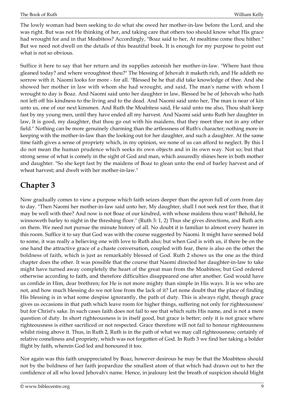The lowly woman had been seeking to do what she owed her mother-in-law before the Lord, and she was right. But was not He thinking of her, and taking care that others too should know what His grace had wrought for and in that Moabitess? Accordingly, "Boaz said to her, At mealtime come thou hither." But we need not dwell on the details of this beautiful book. It is enough for my purpose to point out what is not so obvious.

Suffice it here to say that her return and its supplies astonish her mother-in-law. "Where hast thou gleaned today? and where wroughtest thou?" The blessing of Jehovah it maketh rich, and He addeth no sorrow with it. Naomi looks for more - for all. "Blessed be he that did take knowledge of thee. And she showed her mother in law with whom she had wrought, and said, The man's name with whom I wrought to day is Boaz. And Naomi said unto her daughter in law, Blessed be he of Jehovah who hath not left off his kindness to the living and to the dead. And Naomi said unto her, The man is near of kin unto us, one of our next kinsmen. And Ruth the Moabitess said, He said unto me also, Thou shalt keep fast by my young men, until they have ended all my harvest. And Naomi said unto Ruth her daughter in law, It is good, my daughter, that thou go out with his maidens, that they meet thee not in any other field." Nothing can be more genuinely charming than the artlessness of Ruth's character; nothing more in keeping with the mother-in-law than the looking out for her daughter, and such a daughter. At the same time faith gives a sense of propriety which, in my opinion, we none of us can afford to neglect. By this I do not mean the human prudence which seeks its own objects and in its own way. Not so; but that strong sense of what is comely in the sight of God and man, which assuredly shines here in both mother and daughter. "So she kept fast by the maidens of Boaz to glean unto the end of barley harvest and of wheat harvest; and dwelt with her mother-in-law."

## <span id="page-8-0"></span>**Chapter 3**

Now gradually comes to view a purpose which faith seizes deeper than the apron full of corn from day to day. "Then Naomi her mother-in-law said unto her, My daughter, shall I not seek rest for thee, that it may be well with thee? And now is not Boaz of our kindred, with whose maidens thou wast? Behold, he winnoweth barley to night in the threshing floor." (Ruth 3: 1, 2) Thus she gives directions, and Ruth acts on them. We need not pursue the minute history of all. No doubt it is familiar to almost every hearer in this room. Suffice it to say that God was with the course suggested by Naomi. It might have seemed bold to some, it was really a believing one with love to Ruth also; but when God is with us, if there be on the one hand the attractive grace of a chaste conversation, coupled with fear, there is also on the other the boldness of faith, which is just as remarkably blessed of God. Ruth 2 shows us the one as the third chapter does the other. It was possible that the course that Naomi directed her daughter-in-law to take might have turned away completely the heart of the great man from the Moabitess; but God ordered otherwise according to faith, and therefore difficulties disappeared one after another. God would have us confide in Him, dear brethren; for He is not more mighty than simple in His ways. It is we who are not, and how much blessing do we not lose from the lack of it? Let none doubt that the place of finding His blessing is in what some despise ignorantly, the path of duty. This is always right, though grace gives us occasions in that path which leave room for higher things, suffering not only for righteousness' but for Christ's sake. In such cases faith does not fail to see that which suits His name, and is not a mere question of duty. In short righteousness is in itself good, but grace is better; only it is not grace where righteousness is either sacrificed or not respected. Grace therefore will not fail to honour righteousness whilst rising above it. Thus, in Ruth 2, Ruth is in the path of what we may call righteousness; certainly of relative comeliness and propriety, which was not forgotten of God. In Ruth 3 we find her taking a bolder flight by faith, wherein God led and honoured it too.

Nor again was this faith unappreciated by Boaz, however desirous he may be that the Moabitess should not by the boldness of her faith jeopardize the smallest atom of that which had drawn out to her the confidence of all who loved Jehovah's name. Hence, in jealousy lest the breath of suspicion should blight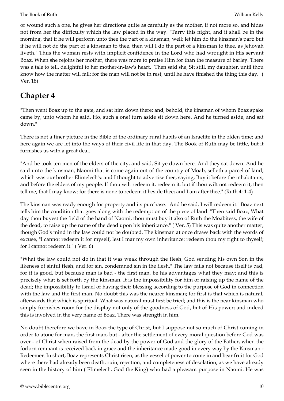or wound such a one, he gives her directions quite as carefully as the mother, if not more so, and hides not from her the difficulty which the law placed in the way. "Tarry this night, and it shall be in the morning, that if he will perform unto thee the part of a kinsman, well; let him do the kinsman's part: but if he will not do the part of a kinsman to thee, then will I do the part of a kinsman to thee, as Jehovah liveth." Thus the woman rests with implicit confidence in the Lord who had wrought in His servant Boaz. When she rejoins her mother, there was more to praise Him for than the measure of barley. There was a tale to tell, delightful to her mother-in-law's heart. "Then said she, Sit still, my daughter, until thou know how the matter will fall: for the man will not be in rest, until he have finished the thing this day." ( Ver. 18)

#### <span id="page-9-0"></span>**Chapter 4**

"Then went Boaz up to the gate, and sat him down there: and, behold, the kinsman of whom Boaz spake came by; unto whom he said, Ho, such a one! turn aside sit down here. And he turned aside, and sat down."

There is not a finer picture in the Bible of the ordinary rural habits of an Israelite in the olden time; and here again we are let into the ways of their civil life in that day. The Book of Ruth may be little, but it furnishes us with a great deal.

"And he took ten men of the elders of the city, and said, Sit ye down here. And they sat down. And he said unto the kinsman, Naomi that is come again out of the country of Moab, selleth a parcel of land, which was our brother Elimelech's: and I thought to advertise thee, saying, Buy it before the inhabitants, and before the elders of my people. If thou wilt redeem it, redeem it: but if thou wilt not redeem it, then tell me, that I may know: for there is none to redeem it beside thee; and I am after thee." (Ruth 4: 1-4)

The kinsman was ready enough for property and its purchase. "And he said, I will redeem it." Boaz next tells him the condition that goes along with the redemption of the piece of land. "Then said Boaz, What day thou buyest the field of the hand of Naomi, thou must buy it also of Ruth the Moabitess, the wife of the dead, to raise up the name of the dead upon his inheritance." ( Ver. 5) This was quite another matter, though God's mind in the law could not be doubted. The kinsman at once draws back with the words of excuse, "I cannot redeem it for myself, lest I mar my own inheritance: redeem thou my right to thyself; for I cannot redeem it." ( Ver. 6)

"What the law could not do in that it was weak through the flesh, God sending his own Son in the likeness of sinful flesh, and for sin, condemned sin in the flesh." The law fails not because itself is bad, for it is good, but because man is bad - the first man, be his advantages what they may; and this is precisely what is set forth by the kinsman. It is the impossibility for him of raising up the name of the dead; the impossibility to Israel of having their blessing according to the purpose of God in connection with the law and the first man. No doubt this was the nearer kinsman; for first is that which is natural, afterwards that which is spiritual. What was natural must first be tried; and this is the near kinsman who simply furnishes room for the display not only of the goodness of God, but of His power; and indeed this is involved in the very name of Boaz. There was strength in him.

No doubt therefore we have in Boaz the type of Christ, but I suppose not so much of Christ coming in order to atone for man, the first man, but - after the settlement of every moral question before God was over - of Christ when raised from the dead by the power of God and the glory of the Father, when the forlorn remnant is received back in grace and the inheritance made good in every way by the Kinsman - Redeemer. In short, Boaz represents Christ risen, as the vessel of power to come in and bear fruit for God where there had already been death, ruin, rejection, and completeness of desolation, as we have already seen in the history of him ( Elimelech, God the King) who had a pleasant purpose in Naomi. He was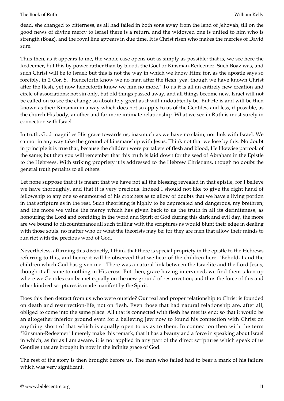dead, she changed to bitterness, as all had failed in both sons away from the land of Jehovah; till on the good news of divine mercy to Israel there is a return, and the widowed one is united to him who is strength (Boaz), and the royal line appears in due time. It is Christ risen who makes the mercies of David sure.

Thus then, as it appears to me, the whole case opens out as simply as possible; that is, we see here the Redeemer, but this by power rather than by blood, the Goel or Kinsman-Redeemer. Such Boaz was, and such Christ will be to Israel; but this is not the way in which we know Him; for, as the apostle says so forcibly, in 2 Cor. 5, "Henceforth know we no man after the flesh: yea, though we have known Christ after the flesh, yet now henceforth know we him no more." To us it is all an entirely new creation and circle of associations; not sin only, but old things passed away, and all things become new. Israel will not be called on to see the change so absolutely great as it will undoubtedly be. But He is and will be then known as their Kinsman in a way which does not so apply to us of the Gentiles, and less, if possible, as the church His body, another and far more intimate relationship. What we see in Ruth is most surely in connection with Israel.

In truth, God magnifies His grace towards us, inasmuch as we have no claim, nor link with Israel. We cannot in any way take the ground of kinsmanship with Jesus. Think not that we lose by this. No doubt in principle it is true that, because the children were partakers of flesh and blood, He likewise partook of the same; but then you will remember that this truth is laid down for the seed of Abraham in the Epistle to the Hebrews. With striking propriety it is addressed to the Hebrew Christians, though no doubt the general truth pertains to all others.

Let none suppose that it is meant that we have not all the blessing revealed in that epistle, for I believe we have thoroughly, and that it is very precious. Indeed I should not like to give the right hand of fellowship to any one so enamoured of his crotchets as to allow of doubts that we have a living portion in that scripture as in the rest. Such theorising is highly to be deprecated and dangerous, my brethren; and the more we value the mercy which has given back to us the truth in all its definiteness, as honouring the Lord and confiding in the word and Spirit of God during this dark and evil day, the more are we bound to discountenance all such trifling with the scriptures as would blunt their edge in dealing with those souls, no matter who or what the theorists may be; for they are men that allow their minds to run riot with the precious word of God.

Nevertheless, affirming this distinctly, I think that there is special propriety in the epistle to the Hebrews referring to this, and hence it will be observed that we hear of the children here: "Behold, I and the children which God has given me." There was a natural link between the Israelite and the Lord Jesus, though it all came to nothing in His cross. But then, grace having intervened, we find them taken up where we Gentiles can be met equally on the new ground of resurrection; and thus the force of this and other kindred scriptures is made manifest by the Spirit.

Does this then detract from us who were outside? Our real and proper relationship to Christ is founded on death and resurrection-life, not on flesh. Even those that had natural relationship are, after all, obliged to come into the same place. All that is connected with flesh has met its end; so that it would be an altogether inferior ground even for a believing Jew now to found his connection with Christ on anything short of that which is equally open to us as to them. In connection then with the term "Kinsman-Redeemer" I merely make this remark, that it has a beauty and a force in speaking about Israel in which, as far as I am aware, it is not applied in any part of the direct scriptures which speak of us Gentiles that are brought in now in the infinite grace of God.

The rest of the story is then brought before us. The man who failed had to bear a mark of his failure which was very significant.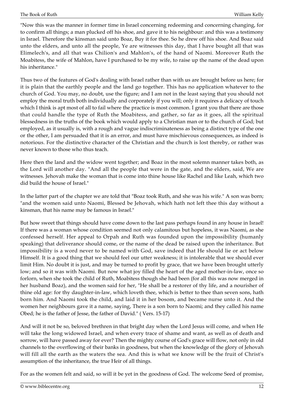"Now this was the manner in former time in Israel concerning redeeming and concerning changing, for to confirm all things; a man plucked off his shoe, and gave it to his neighbour: and this was a testimony in Israel. Therefore the kinsman said unto Boaz, Buy it for thee. So he drew off his shoe. And Boaz said unto the elders, and unto all the people, Ye are witnesses this day, that I have bought all that was Elimelech's, and all that was Chilion's and Mahlon's, of the hand of Naomi. Moreover Ruth the Moabitess, the wife of Mahlon, have I purchased to be my wife, to raise up the name of the dead upon his inheritance."

Thus two of the features of God's dealing with Israel rather than with us are brought before us here; for it is plain that the earthly people and the land go together. This has no application whatever to the church of God. You may, no doubt, use the figure; and I am not in the least saying that you should not employ the moral truth both individually and corporately if you will; only it requires a delicacy of touch which I think is apt most of all to fail where the practice is most common. I grant you that there are those that could handle the type of Ruth the Moabitess, and gather, so far as it goes, all the spiritual blessedness in the truths of the book which would apply to a Christian man or to the church of God; but employed, as it usually is, with a rough and vague indiscriminateness as being a distinct type of the one or the other, I am persuaded that it is an error, and must have mischievous consequences, as indeed is notorious. For the distinctive character of the Christian and the church is lost thereby, or rather was never known to those who thus teach.

Here then the land and the widow went together; and Boaz in the most solemn manner takes both, as the Lord will another day. "And all the people that were in the gate, and the elders, said, We are witnesses. Jehovah make the woman that is come into thine house like Rachel and like Leah, which two did build the house of Israel."

In the latter part of the chapter we are told that "Boaz took Ruth, and she was his wife." A son was born; "and the women said unto Naomi, Blessed be Jehovah, which hath not left thee this day without a kinsman, that his name may be famous in Israel."

But how sweet that things should have come down to the last pass perhaps found in any house in Israel! If there was a woman whose condition seemed not only calamitous but hopeless, it was Naomi, as she confessed herself. Her appeal to Orpah and Ruth was founded upon the impossibility (humanly speaking) that deliverance should come, or the name of the dead be raised upon the inheritance. But impossibility is a word never to be named with God, save indeed that He should lie or act below Himself. It is a good thing that we should feel our utter weakness; it is intolerable that we should ever limit Him. No doubt it is just, and may be turned to profit by grace, that we have been brought utterly low; and so it was with Naomi. But now what joy filled the heart of the aged mother-in-law, once so forlorn, when she took the child of Ruth, Moabitess though she had been (for all this was now merged in her husband Boaz), and the women said for her, "He shall be a restorer of thy life, and a nourisher of thine old age: for thy daughter-in-law, which loveth thee, which is better to thee than seven sons, hath born him. And Naomi took the child, and laid it in her bosom, and became nurse unto it. And the women her neighbours gave it a name, saying, There is a son born to Naomi; and they called his name Obed; he is the father of Jesse, the father of David." ( Vers. 15-17)

And will it not be so, beloved brethren in that bright day when the Lord Jesus will come, and when He will take the long widowed Israel, and when every trace of shame and want, as well as of death and sorrow, will have passed away for ever? Then the mighty course of God's grace will flow, not only in old channels to the overflowing of their banks in goodness, but when the knowledge of the glory of Jehovah will fill all the earth as the waters the sea. And this is what we know will be the fruit of Christ's assumption of the inheritance, the true Heir of all things.

For as the women felt and said, so will it be yet in the goodness of God. The welcome Seed of promise,